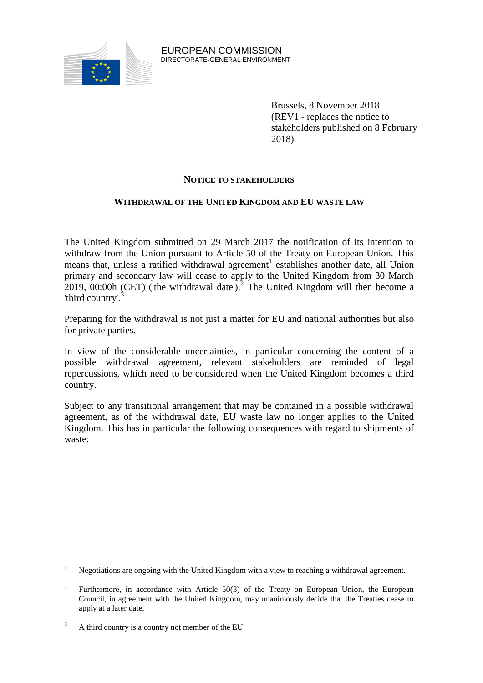

EUROPEAN COMMISSION DIRECTORATE-GENERAL ENVIRONMENT

> Brussels, 8 November 2018 (REV1 - replaces the notice to stakeholders published on 8 February 2018)

# **NOTICE TO STAKEHOLDERS**

# **WITHDRAWAL OF THE UNITED KINGDOM AND EU WASTE LAW**

The United Kingdom submitted on 29 March 2017 the notification of its intention to withdraw from the Union pursuant to Article 50 of the Treaty on European Union. This means that, unless a ratified withdrawal agreement<sup>1</sup> establishes another date, all Union primary and secondary law will cease to apply to the United Kingdom from 30 March 2019, 00:00h (CET) ('the withdrawal date').<sup>2</sup> The United Kingdom will then become a 'third country'.<sup>3</sup>

Preparing for the withdrawal is not just a matter for EU and national authorities but also for private parties.

In view of the considerable uncertainties, in particular concerning the content of a possible withdrawal agreement, relevant stakeholders are reminded of legal repercussions, which need to be considered when the United Kingdom becomes a third country.

Subject to any transitional arrangement that may be contained in a possible withdrawal agreement, as of the withdrawal date, EU waste law no longer applies to the United Kingdom. This has in particular the following consequences with regard to shipments of waste:

 $\mathbf{1}$ <sup>1</sup> Negotiations are ongoing with the United Kingdom with a view to reaching a withdrawal agreement.

<sup>2</sup> Furthermore, in accordance with Article 50(3) of the Treaty on European Union, the European Council, in agreement with the United Kingdom, may unanimously decide that the Treaties cease to apply at a later date.

<sup>&</sup>lt;sup>3</sup> A third country is a country not member of the EU.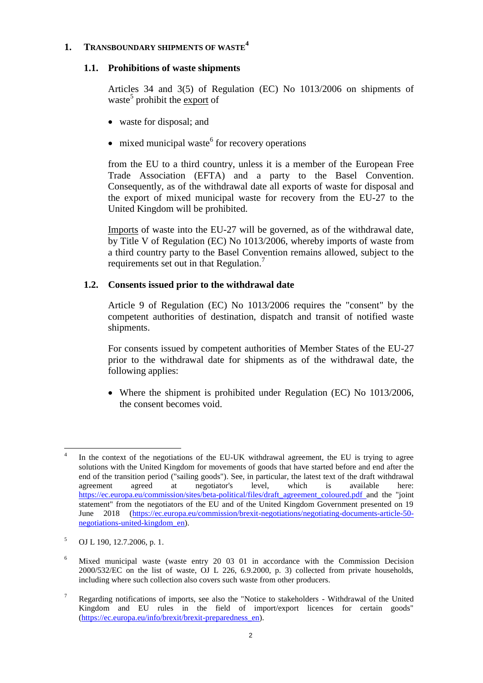# **1. TRANSBOUNDARY SHIPMENTS OF WASTE<sup>4</sup>**

# **1.1. Prohibitions of waste shipments**

Articles 34 and 3(5) of Regulation (EC) No 1013/2006 on shipments of waste<sup>5</sup> prohibit the export of

- waste for disposal: and
- $\bullet$  mixed municipal waste<sup>6</sup> for recovery operations

from the EU to a third country, unless it is a member of the European Free Trade Association (EFTA) and a party to the Basel Convention. Consequently, as of the withdrawal date all exports of waste for disposal and the export of mixed municipal waste for recovery from the EU-27 to the United Kingdom will be prohibited.

Imports of waste into the EU-27 will be governed, as of the withdrawal date, by Title V of Regulation (EC) No 1013/2006, whereby imports of waste from a third country party to the Basel Convention remains allowed, subject to the requirements set out in that Regulation.<sup>7</sup>

# **1.2. Consents issued prior to the withdrawal date**

Article 9 of Regulation (EC) No 1013/2006 requires the "consent" by the competent authorities of destination, dispatch and transit of notified waste shipments.

For consents issued by competent authorities of Member States of the EU-27 prior to the withdrawal date for shipments as of the withdrawal date, the following applies:

 Where the shipment is prohibited under Regulation (EC) No 1013/2006, the consent becomes void.

 $\overline{a}$ 4 In the context of the negotiations of the EU-UK withdrawal agreement, the EU is trying to agree solutions with the United Kingdom for movements of goods that have started before and end after the end of the transition period ("sailing goods"). See, in particular, the latest text of the draft withdrawal<br>agreement agreed at negotiator's level. which is available here: agreement agreed at negotiator's level, which is available here: [https://ec.europa.eu/commission/sites/beta-political/files/draft\\_agreement\\_coloured.pdf](https://ec.europa.eu/commission/sites/beta-political/files/draft_agreement_coloured.pdf) and the "joint statement" from the negotiators of the EU and of the United Kingdom Government presented on 19 June 2018 [\(https://ec.europa.eu/commission/brexit-negotiations/negotiating-documents-article-50](https://ec.europa.eu/commission/brexit-negotiations/negotiating-documents-article-50-negotiations-united-kingdom_en) [negotiations-united-kingdom\\_en\)](https://ec.europa.eu/commission/brexit-negotiations/negotiating-documents-article-50-negotiations-united-kingdom_en).

<sup>5</sup> OJ L 190, 12.7.2006, p. 1.

<sup>6</sup> Mixed municipal waste (waste entry 20 03 01 in accordance with the Commission Decision 2000/532/EC on the list of waste, OJ L 226, 6.9.2000, p. 3) collected from private households, including where such collection also covers such waste from other producers.

<sup>7</sup> Regarding notifications of imports, see also the "Notice to stakeholders - Withdrawal of the United Kingdom and EU rules in the field of import/export licences for certain goods" [\(https://ec.europa.eu/info/brexit/brexit-preparedness\\_en\)](https://ec.europa.eu/info/brexit/brexit-preparedness_en).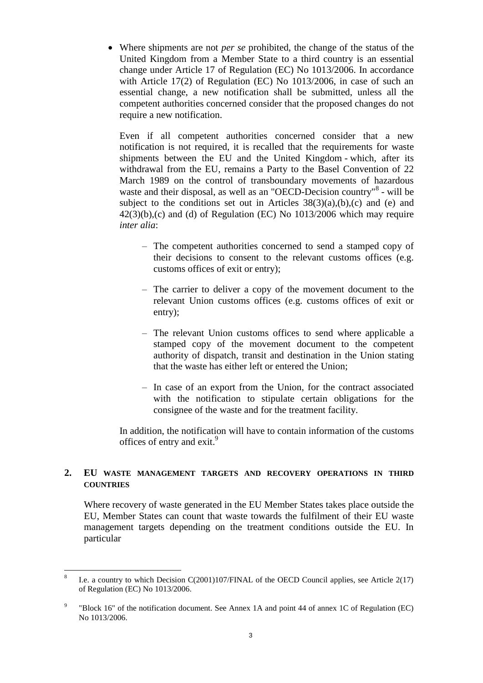Where shipments are not *per se* prohibited, the change of the status of the United Kingdom from a Member State to a third country is an essential change under Article 17 of Regulation (EC) No 1013/2006. In accordance with Article 17(2) of Regulation (EC) No 1013/2006, in case of such an essential change, a new notification shall be submitted, unless all the competent authorities concerned consider that the proposed changes do not require a new notification.

Even if all competent authorities concerned consider that a new notification is not required, it is recalled that the requirements for waste shipments between the EU and the United Kingdom - which, after its withdrawal from the EU, remains a Party to the Basel Convention of 22 March 1989 on the control of transboundary movements of hazardous waste and their disposal, as well as an "OECD-Decision country"<sup>8</sup> - will be subject to the conditions set out in Articles  $38(3)(a)$ , (b), (c) and (e) and  $42(3)(b)$ ,(c) and (d) of Regulation (EC) No  $1013/2006$  which may require *inter alia*:

- The competent authorities concerned to send a stamped copy of their decisions to consent to the relevant customs offices (e.g. customs offices of exit or entry);
- The carrier to deliver a copy of the movement document to the relevant Union customs offices (e.g. customs offices of exit or entry);
- The relevant Union customs offices to send where applicable a stamped copy of the movement document to the competent authority of dispatch, transit and destination in the Union stating that the waste has either left or entered the Union;
- In case of an export from the Union, for the contract associated with the notification to stipulate certain obligations for the consignee of the waste and for the treatment facility.

In addition, the notification will have to contain information of the customs offices of entry and exit.<sup>9</sup>

# **2. EU WASTE MANAGEMENT TARGETS AND RECOVERY OPERATIONS IN THIRD COUNTRIES**

Where recovery of waste generated in the EU Member States takes place outside the EU, Member States can count that waste towards the fulfilment of their EU waste management targets depending on the treatment conditions outside the EU. In particular

 $\overline{a}$ 

<sup>8</sup> I.e. a country to which Decision C(2001)107/FINAL of the OECD Council applies, see Article 2(17) of Regulation (EC) No 1013/2006.

<sup>9</sup> "Block 16" of the notification document. See Annex 1A and point 44 of annex 1C of Regulation (EC) No 1013/2006.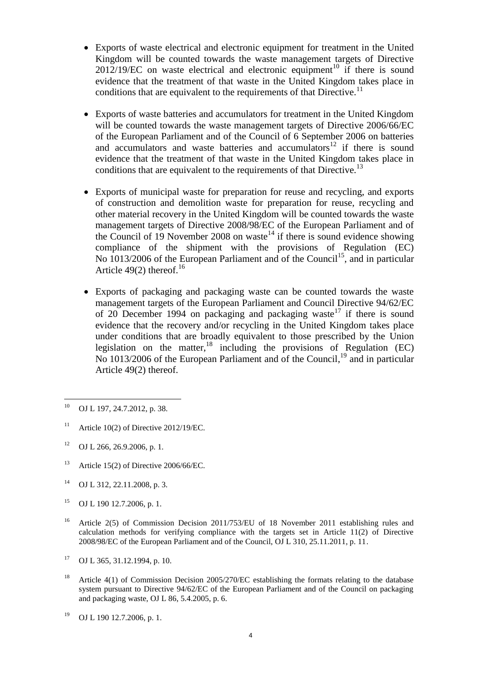- Exports of waste electrical and electronic equipment for treatment in the United Kingdom will be counted towards the waste management targets of Directive  $2012/19/EC$  on waste electrical and electronic equipment<sup>10</sup> if there is sound evidence that the treatment of that waste in the United Kingdom takes place in conditions that are equivalent to the requirements of that Directive.<sup>11</sup>
- Exports of waste batteries and accumulators for treatment in the United Kingdom will be counted towards the waste management targets of Directive 2006/66/EC of the European Parliament and of the Council of 6 September 2006 on batteries and accumulators and waste batteries and accumulators<sup>12</sup> if there is sound evidence that the treatment of that waste in the United Kingdom takes place in conditions that are equivalent to the requirements of that Directive.<sup>13</sup>
- Exports of municipal waste for preparation for reuse and recycling, and exports of construction and demolition waste for preparation for reuse, recycling and other material recovery in the United Kingdom will be counted towards the waste management targets of Directive 2008/98/EC of the European Parliament and of the Council of 19 November 2008 on waste<sup>14</sup> if there is sound evidence showing compliance of the shipment with the provisions of Regulation (EC) No  $1013/2006$  of the European Parliament and of the Council<sup>15</sup>, and in particular Article 49(2) thereof.<sup>16</sup>
- Exports of packaging and packaging waste can be counted towards the waste management targets of the European Parliament and Council Directive 94/62/EC of 20 December 1994 on packaging and packaging waste<sup>17</sup> if there is sound evidence that the recovery and/or recycling in the United Kingdom takes place under conditions that are broadly equivalent to those prescribed by the Union legislation on the matter, $^{18}$  including the provisions of Regulation (EC) No 1013/2006 of the European Parliament and of the Council,<sup>19</sup> and in particular Article 49(2) thereof.

- <sup>12</sup> OJ L 266, 26.9.2006, p. 1.
- <sup>13</sup> Article 15(2) of Directive 2006/66/EC.
- <sup>14</sup> OJ L 312, 22.11.2008, p. 3.
- <sup>15</sup> OJ L 190 12.7.2006, p. 1.
- <sup>16</sup> Article 2(5) of Commission Decision 2011/753/EU of 18 November 2011 establishing rules and calculation methods for verifying compliance with the targets set in Article 11(2) of Directive 2008/98/EC of the European Parliament and of the Council, OJ L 310, 25.11.2011, p. 11.
- $17$  OJ L 365, 31.12.1994, p. 10.
- <sup>18</sup> Article 4(1) of Commission Decision 2005/270/EC establishing the formats relating to the database system pursuant to Directive 94/62/EC of the European Parliament and of the Council on packaging and packaging waste, OJ L 86, 5.4.2005, p. 6.

 $10$ OJ L 197, 24.7.2012, p. 38.

<sup>&</sup>lt;sup>11</sup> Article 10(2) of Directive 2012/19/EC.

<sup>19</sup> OJ L 190 12.7.2006, p. 1.